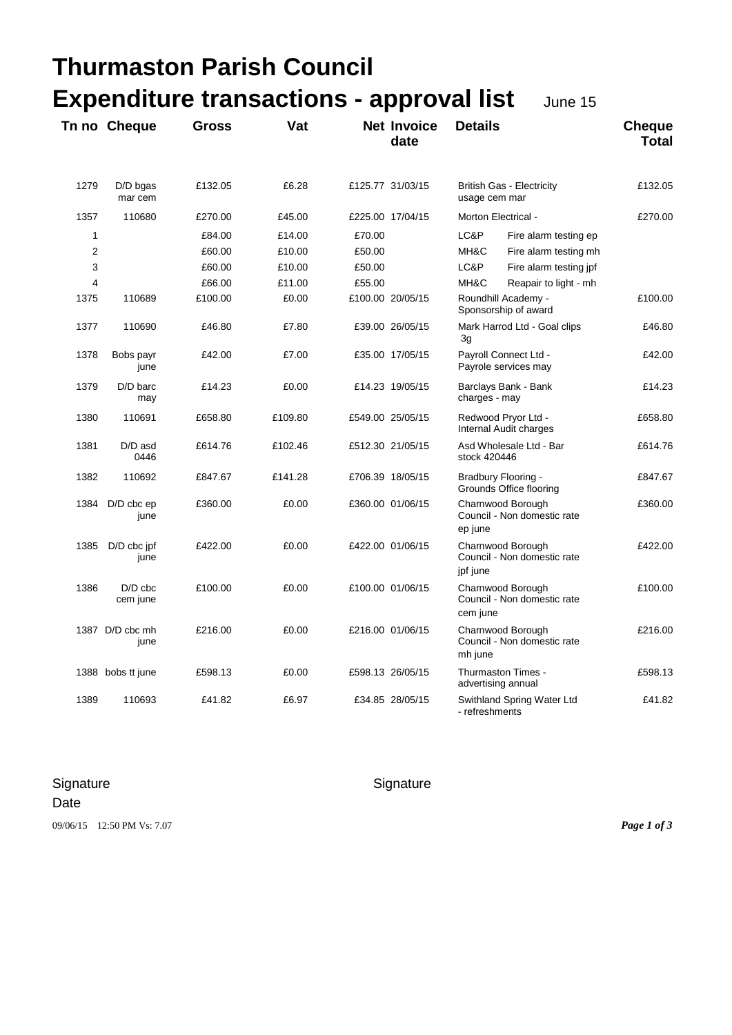| <b>Thurmaston Parish Council</b><br><b>Expenditure transactions - approval list</b> |                         |              |         |        |                            |                                                              |                        |                               |  |
|-------------------------------------------------------------------------------------|-------------------------|--------------|---------|--------|----------------------------|--------------------------------------------------------------|------------------------|-------------------------------|--|
|                                                                                     | Tn no Cheque            | <b>Gross</b> | Vat     |        | <b>Net Invoice</b><br>date | <b>Details</b>                                               | June 15                | <b>Cheque</b><br><b>Total</b> |  |
| 1279                                                                                | D/D bgas<br>mar cem     | £132.05      | £6.28   |        | £125.77 31/03/15           | <b>British Gas - Electricity</b><br>usage cem mar            |                        | £132.05                       |  |
| 1357                                                                                | 110680                  | £270.00      | £45.00  |        | £225.00 17/04/15           | Morton Electrical -                                          |                        | £270.00                       |  |
| 1                                                                                   |                         | £84.00       | £14.00  | £70.00 |                            | LC&P                                                         | Fire alarm testing ep  |                               |  |
| 2                                                                                   |                         | £60.00       | £10.00  | £50.00 |                            | MH&C                                                         | Fire alarm testing mh  |                               |  |
| 3                                                                                   |                         | £60.00       | £10.00  | £50.00 |                            | LC&P                                                         | Fire alarm testing jpf |                               |  |
| 4                                                                                   |                         | £66.00       | £11.00  | £55.00 |                            | MH&C                                                         | Reapair to light - mh  |                               |  |
| 1375                                                                                | 110689                  | £100.00      | £0.00   |        | £100.00 20/05/15           | Roundhill Academy -<br>Sponsorship of award                  |                        | £100.00                       |  |
| 1377                                                                                | 110690                  | £46.80       | £7.80   |        | £39.00 26/05/15            | Mark Harrod Ltd - Goal clips<br>Зg                           |                        | £46.80                        |  |
| 1378                                                                                | Bobs payr<br>june       | £42.00       | £7.00   |        | £35.00 17/05/15            | Payroll Connect Ltd -<br>Payrole services may                |                        | £42.00                        |  |
| 1379                                                                                | D/D barc<br>may         | £14.23       | £0.00   |        | £14.23 19/05/15            | Barclays Bank - Bank<br>charges - may                        |                        | £14.23                        |  |
| 1380                                                                                | 110691                  | £658.80      | £109.80 |        | £549.00 25/05/15           | Redwood Pryor Ltd -<br>Internal Audit charges                |                        | £658.80                       |  |
| 1381                                                                                | D/D asd<br>0446         | £614.76      | £102.46 |        | £512.30 21/05/15           | Asd Wholesale Ltd - Bar<br>stock 420446                      |                        | £614.76                       |  |
| 1382                                                                                | 110692                  | £847.67      | £141.28 |        | £706.39 18/05/15           | Bradbury Flooring -<br>Grounds Office flooring               |                        | £847.67                       |  |
| 1384                                                                                | $D/D$ cbc $ep$<br>june  | £360.00      | £0.00   |        | £360.00 01/06/15           | Charnwood Borough<br>Council - Non domestic rate<br>ep june  |                        | £360.00                       |  |
| 1385                                                                                | $D/D$ cbc $p f$<br>june | £422.00      | £0.00   |        | £422.00 01/06/15           | Charnwood Borough<br>Council - Non domestic rate<br>jpf june |                        | £422.00                       |  |
| 1386                                                                                | $D/D$ cbc<br>cem june   | £100.00      | £0.00   |        | £100.00 01/06/15           | Charnwood Borough<br>Council - Non domestic rate<br>cem june |                        | £100.00                       |  |
|                                                                                     | 1387 D/D cbc mh<br>june | £216.00      | £0.00   |        | £216.00 01/06/15           | Charnwood Borough<br>Council - Non domestic rate<br>mh june  |                        | £216.00                       |  |
|                                                                                     | 1388 bobs tt june       | £598.13      | £0.00   |        | £598.13 26/05/15           | Thurmaston Times -<br>advertising annual                     |                        | £598.13                       |  |
| 1389                                                                                | 110693                  | £41.82       | £6.97   |        | £34.85 28/05/15            | Swithland Spring Water Ltd<br>- refreshments                 |                        | £41.82                        |  |

## Signature Signature Signature Date

09/06/15 12:50 PM Vs: 7.07 *Page 1 of 3*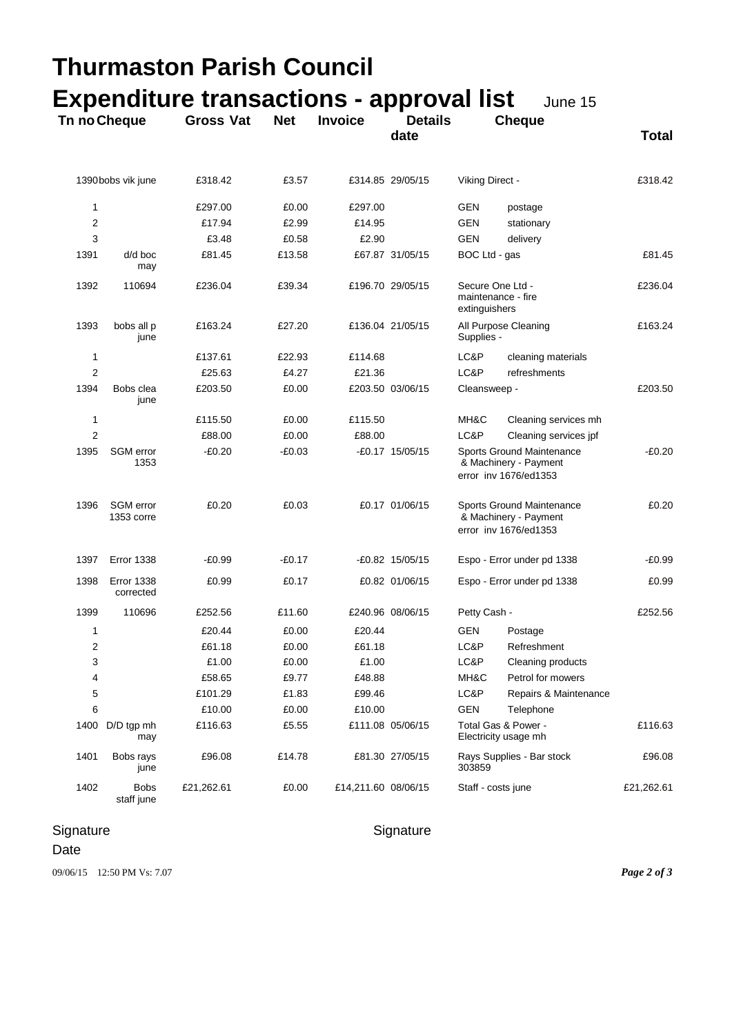|                | <b>Tn no Cheque</b>            | Thurmaston Parish Council<br><b>Expenditure transactions - approval list</b><br><b>Gross Vat</b> | <b>Net</b> | <b>Invoice</b>      | <b>Details</b>    |                                                                             | June 15<br><b>Cheque</b>                                                    |              |
|----------------|--------------------------------|--------------------------------------------------------------------------------------------------|------------|---------------------|-------------------|-----------------------------------------------------------------------------|-----------------------------------------------------------------------------|--------------|
|                |                                |                                                                                                  |            |                     | date              |                                                                             |                                                                             | <b>Total</b> |
|                | 1390bobs vik june              | £318.42                                                                                          | £3.57      |                     | £314.85 29/05/15  | Viking Direct -                                                             | £318.42                                                                     |              |
| 1              |                                | £297.00                                                                                          | £0.00      | £297.00             |                   | GEN                                                                         | postage                                                                     |              |
| $\overline{2}$ |                                | £17.94                                                                                           | £2.99      | £14.95              |                   | <b>GEN</b>                                                                  | stationary                                                                  |              |
| 3              |                                | £3.48                                                                                            | £0.58      | £2.90               |                   | <b>GEN</b>                                                                  | delivery                                                                    |              |
| 1391           | d/d boc<br>may                 | £81.45                                                                                           | £13.58     |                     | £67.87 31/05/15   | BOC Ltd - gas                                                               |                                                                             | £81.45       |
| 1392           | 110694                         | £236.04                                                                                          | £39.34     |                     | £196.70 29/05/15  | Secure One Ltd -<br>maintenance - fire<br>extinguishers                     |                                                                             | £236.04      |
| 1393           | bobs all p<br>june             | £163.24                                                                                          | £27.20     |                     | £136.04 21/05/15  | Supplies -                                                                  | All Purpose Cleaning                                                        | £163.24      |
| 1              |                                | £137.61                                                                                          | £22.93     | £114.68             |                   | LC&P                                                                        | cleaning materials                                                          |              |
| $\overline{2}$ |                                | £25.63                                                                                           | £4.27      | £21.36              |                   | LC&P                                                                        | refreshments                                                                |              |
| 1394           | Bobs clea<br>june              | £203.50                                                                                          | £0.00      |                     | £203.50 03/06/15  | Cleansweep -                                                                |                                                                             | £203.50      |
| 1              |                                | £115.50                                                                                          | £0.00      | £115.50             |                   | MH&C                                                                        | Cleaning services mh                                                        |              |
| $\overline{2}$ |                                | £88.00                                                                                           | £0.00      | £88.00              |                   | LC&P                                                                        | Cleaning services jpf                                                       |              |
| 1395           | SGM error<br>1353              | $-£0.20$                                                                                         | -£0.03     |                     | $-E0.17$ 15/05/15 |                                                                             | Sports Ground Maintenance<br>& Machinery - Payment<br>error inv 1676/ed1353 | $-£0.20$     |
| 1396           | SGM error<br>1353 corre        | £0.20                                                                                            | £0.03      |                     | £0.17 01/06/15    | Sports Ground Maintenance<br>& Machinery - Payment<br>error inv 1676/ed1353 |                                                                             | £0.20        |
| 1397           | <b>Error 1338</b>              | $-£0.99$                                                                                         | $-£0.17$   |                     | $-E0.82$ 15/05/15 |                                                                             | Espo - Error under pd 1338                                                  | $-£0.99$     |
| 1398           | <b>Error 1338</b><br>corrected | £0.99                                                                                            | £0.17      |                     | £0.82 01/06/15    | Espo - Error under pd 1338                                                  |                                                                             | £0.99        |
| 1399           | 110696                         | £252.56                                                                                          | £11.60     |                     | £240.96 08/06/15  | Petty Cash -                                                                |                                                                             | £252.56      |
| 1              |                                | £20.44                                                                                           | £0.00      | £20.44              |                   | <b>GEN</b>                                                                  | Postage                                                                     |              |
| 2              |                                | £61.18                                                                                           | £0.00      | £61.18              |                   | LC&P                                                                        | Refreshment                                                                 |              |
| 3              |                                | £1.00                                                                                            | £0.00      | £1.00               |                   | LC&P                                                                        | Cleaning products                                                           |              |
| 4              |                                | £58.65                                                                                           | £9.77      | £48.88              |                   | MH&C                                                                        | Petrol for mowers                                                           |              |
| 5              |                                | £101.29                                                                                          | £1.83      | £99.46              |                   | LC&P                                                                        | Repairs & Maintenance                                                       |              |
| 6              |                                | £10.00                                                                                           | £0.00      | £10.00              |                   | <b>GEN</b>                                                                  | Telephone                                                                   |              |
| 1400           | $D/D$ tgp mh<br>may            | £116.63                                                                                          | £5.55      |                     | £111.08 05/06/15  |                                                                             | Total Gas & Power -<br>Electricity usage mh                                 | £116.63      |
| 1401           | Bobs rays<br>june              | £96.08                                                                                           | £14.78     |                     | £81.30 27/05/15   | Rays Supplies - Bar stock<br>303859                                         |                                                                             | £96.08       |
| 1402           | <b>Bobs</b><br>staff june      | £21,262.61                                                                                       | £0.00      | £14,211.60 08/06/15 |                   | Staff - costs june                                                          |                                                                             | £21,262.61   |

## Signature Signature Signature

## Date

09/06/15 12:50 PM Vs: 7.07 *Page 2 of 3*